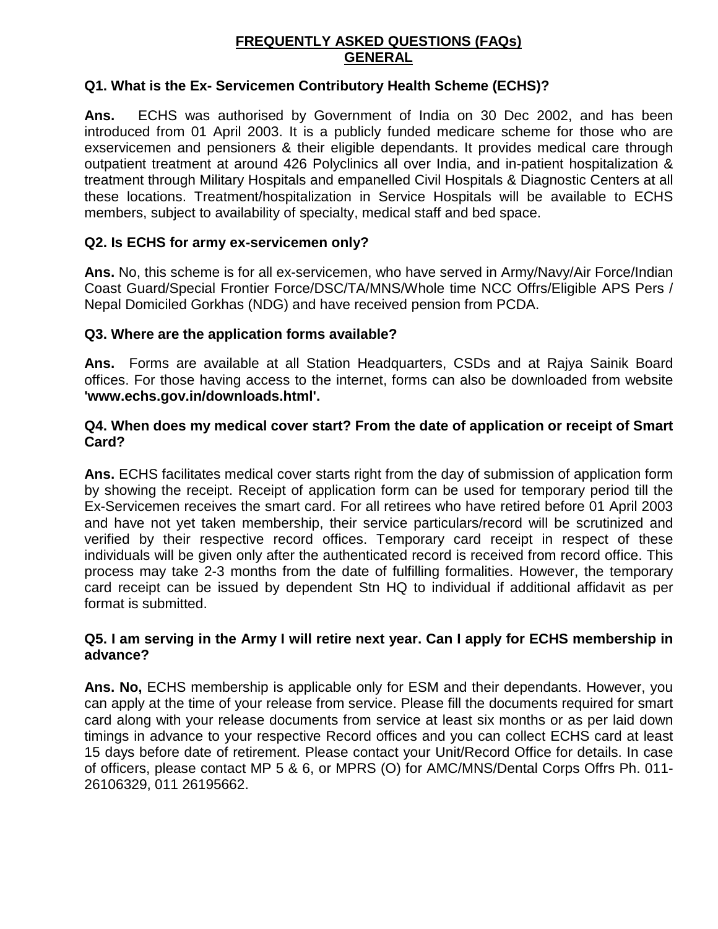# **FREQUENTLY ASKED QUESTIONS (FAQs) GENERAL**

### **Q1. What is the Ex- Servicemen Contributory Health Scheme (ECHS)?**

**Ans.** ECHS was authorised by Government of India on 30 Dec 2002, and has been introduced from 01 April 2003. It is a publicly funded medicare scheme for those who are exservicemen and pensioners & their eligible dependants. It provides medical care through outpatient treatment at around 426 Polyclinics all over India, and in-patient hospitalization & treatment through Military Hospitals and empanelled Civil Hospitals & Diagnostic Centers at all these locations. Treatment/hospitalization in Service Hospitals will be available to ECHS members, subject to availability of specialty, medical staff and bed space.

#### **Q2. Is ECHS for army ex-servicemen only?**

**Ans.** No, this scheme is for all ex-servicemen, who have served in Army/Navy/Air Force/Indian Coast Guard/Special Frontier Force/DSC/TA/MNS/Whole time NCC Offrs/Eligible APS Pers / Nepal Domiciled Gorkhas (NDG) and have received pension from PCDA.

#### **Q3. Where are the application forms available?**

**Ans.** Forms are available at all Station Headquarters, CSDs and at Rajya Sainik Board offices. For those having access to the internet, forms can also be downloaded from website **'www.echs.gov.in/downloads.html'.**

### **Q4. When does my medical cover start? From the date of application or receipt of Smart Card?**

**Ans.** ECHS facilitates medical cover starts right from the day of submission of application form by showing the receipt. Receipt of application form can be used for temporary period till the Ex-Servicemen receives the smart card. For all retirees who have retired before 01 April 2003 and have not yet taken membership, their service particulars/record will be scrutinized and verified by their respective record offices. Temporary card receipt in respect of these individuals will be given only after the authenticated record is received from record office. This process may take 2-3 months from the date of fulfilling formalities. However, the temporary card receipt can be issued by dependent Stn HQ to individual if additional affidavit as per format is submitted.

#### **Q5. I am serving in the Army I will retire next year. Can I apply for ECHS membership in advance?**

**Ans. No,** ECHS membership is applicable only for ESM and their dependants. However, you can apply at the time of your release from service. Please fill the documents required for smart card along with your release documents from service at least six months or as per laid down timings in advance to your respective Record offices and you can collect ECHS card at least 15 days before date of retirement. Please contact your Unit/Record Office for details. In case of officers, please contact MP 5 & 6, or MPRS (O) for AMC/MNS/Dental Corps Offrs Ph. 011- 26106329, 011 26195662.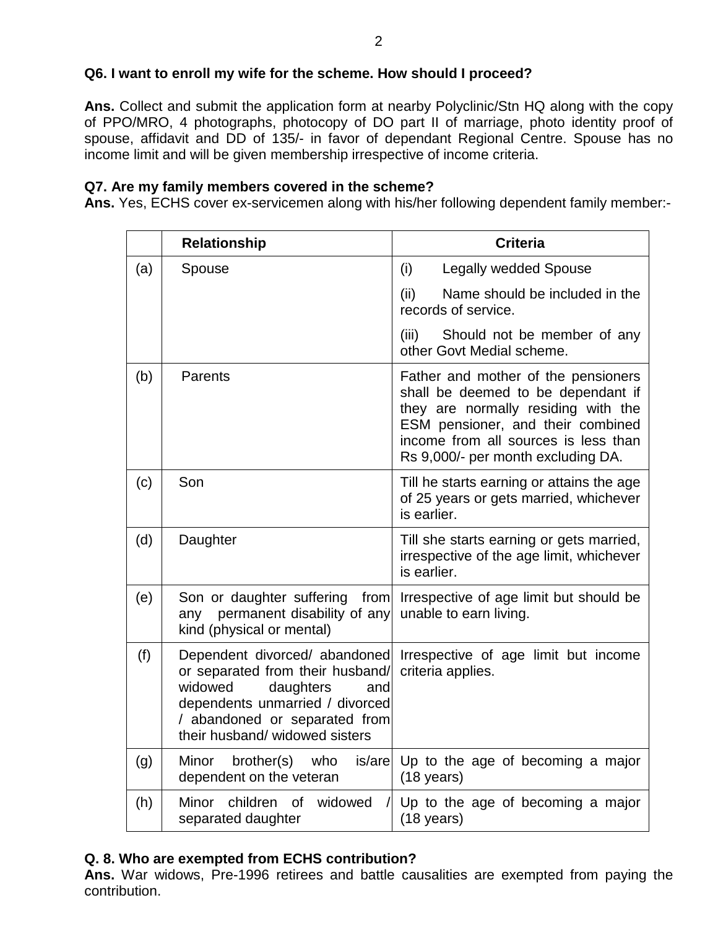# **Q6. I want to enroll my wife for the scheme. How should I proceed?**

**Ans.** Collect and submit the application form at nearby Polyclinic/Stn HQ along with the copy of PPO/MRO, 4 photographs, photocopy of DO part II of marriage, photo identity proof of spouse, affidavit and DD of 135/- in favor of dependant Regional Centre. Spouse has no income limit and will be given membership irrespective of income criteria.

### **Q7. Are my family members covered in the scheme?**

**Ans.** Yes, ECHS cover ex-servicemen along with his/her following dependent family member:-

|     | <b>Relationship</b>                                                                                                                                                                                    | <b>Criteria</b>                                                                                                                                                                                                                     |
|-----|--------------------------------------------------------------------------------------------------------------------------------------------------------------------------------------------------------|-------------------------------------------------------------------------------------------------------------------------------------------------------------------------------------------------------------------------------------|
| (a) | Spouse                                                                                                                                                                                                 | (i)<br><b>Legally wedded Spouse</b>                                                                                                                                                                                                 |
|     |                                                                                                                                                                                                        | Name should be included in the<br>(ii)<br>records of service.                                                                                                                                                                       |
|     |                                                                                                                                                                                                        | Should not be member of any<br>(iii)<br>other Govt Medial scheme.                                                                                                                                                                   |
| (b) | Parents                                                                                                                                                                                                | Father and mother of the pensioners<br>shall be deemed to be dependant if<br>they are normally residing with the<br>ESM pensioner, and their combined<br>income from all sources is less than<br>Rs 9,000/- per month excluding DA. |
| (c) | Son                                                                                                                                                                                                    | Till he starts earning or attains the age<br>of 25 years or gets married, whichever<br>is earlier.                                                                                                                                  |
| (d) | Daughter                                                                                                                                                                                               | Till she starts earning or gets married,<br>irrespective of the age limit, whichever<br>is earlier.                                                                                                                                 |
| (e) | Son or daughter suffering from<br>permanent disability of any<br>any<br>kind (physical or mental)                                                                                                      | Irrespective of age limit but should be<br>unable to earn living.                                                                                                                                                                   |
| (f) | Dependent divorced/ abandoned<br>or separated from their husband/<br>widowed<br>daughters<br>and<br>dependents unmarried / divorced<br>/ abandoned or separated from<br>their husband/ widowed sisters | Irrespective of age limit but income<br>criteria applies.                                                                                                                                                                           |
| (g) | is/are<br>Minor<br>brother(s)<br>who<br>dependent on the veteran                                                                                                                                       | Up to the age of becoming a major<br>$(18 \text{ years})$                                                                                                                                                                           |
| (h) | widowed<br>Minor<br>children<br>$\circ$ of<br>separated daughter                                                                                                                                       | Up to the age of becoming a major<br>$(18 \text{ years})$                                                                                                                                                                           |

## **Q. 8. Who are exempted from ECHS contribution?**

**Ans.** War widows, Pre-1996 retirees and battle causalities are exempted from paying the contribution.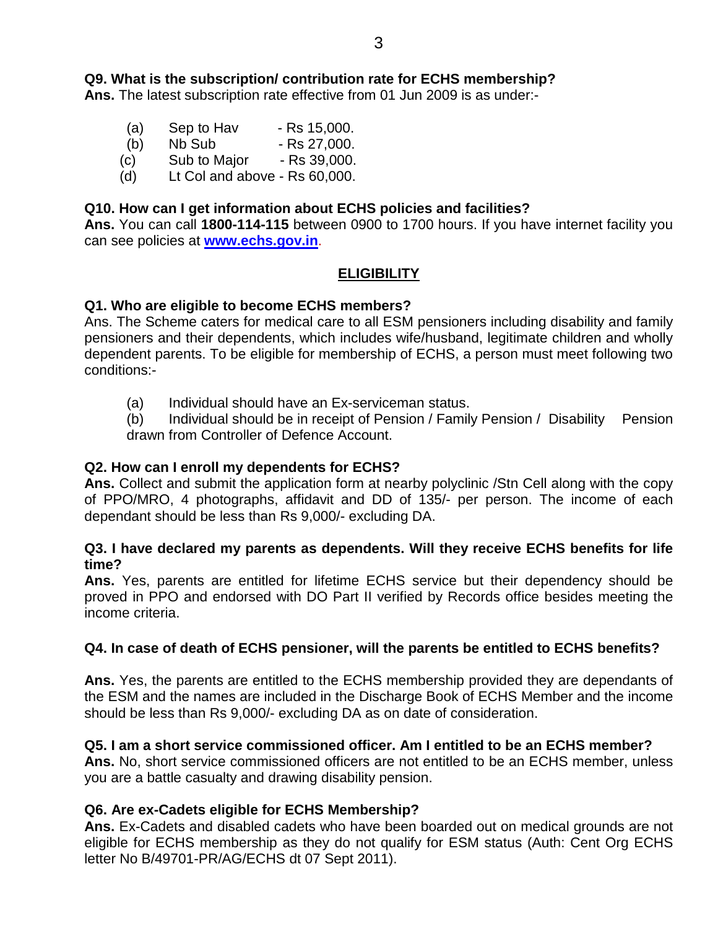# **Q9. What is the subscription/ contribution rate for ECHS membership?**

**Ans.** The latest subscription rate effective from 01 Jun 2009 is as under:-

- (a) Sep to Hav Rs  $15,000$ .
- (b) Nb Sub Rs 27,000.
- $\langle c \rangle$  Sub to Major Rs 39,000.
- (d) Lt Col and above Rs 60,000.

### **Q10. How can I get information about ECHS policies and facilities?**

**Ans.** You can call **1800-114-115** between 0900 to 1700 hours. If you have internet facility you can see policies at **[www.echs.gov.in](http://www.echs.gov.in/)**.

## **ELIGIBILITY**

### **Q1. Who are eligible to become ECHS members?**

Ans. The Scheme caters for medical care to all ESM pensioners including disability and family pensioners and their dependents, which includes wife/husband, legitimate children and wholly dependent parents. To be eligible for membership of ECHS, a person must meet following two conditions:-

(a) Individual should have an Ex-serviceman status.

(b) Individual should be in receipt of Pension / Family Pension / Disability Pension drawn from Controller of Defence Account.

#### **Q2. How can I enroll my dependents for ECHS?**

**Ans.** Collect and submit the application form at nearby polyclinic /Stn Cell along with the copy of PPO/MRO, 4 photographs, affidavit and DD of 135/- per person. The income of each dependant should be less than Rs 9,000/- excluding DA.

#### **Q3. I have declared my parents as dependents. Will they receive ECHS benefits for life time?**

**Ans.** Yes, parents are entitled for lifetime ECHS service but their dependency should be proved in PPO and endorsed with DO Part II verified by Records office besides meeting the income criteria.

### **Q4. In case of death of ECHS pensioner, will the parents be entitled to ECHS benefits?**

**Ans.** Yes, the parents are entitled to the ECHS membership provided they are dependants of the ESM and the names are included in the Discharge Book of ECHS Member and the income should be less than Rs 9,000/- excluding DA as on date of consideration.

#### **Q5. I am a short service commissioned officer. Am I entitled to be an ECHS member?**

**Ans.** No, short service commissioned officers are not entitled to be an ECHS member, unless you are a battle casualty and drawing disability pension.

#### **Q6. Are ex-Cadets eligible for ECHS Membership?**

**Ans.** Ex-Cadets and disabled cadets who have been boarded out on medical grounds are not eligible for ECHS membership as they do not qualify for ESM status (Auth: Cent Org ECHS letter No B/49701-PR/AG/ECHS dt 07 Sept 2011).